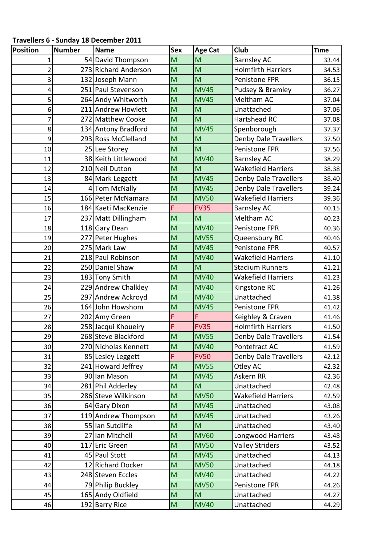**Travellers 6 ‐ Sunday 18 December 2011**

| <b>Position</b> | <b>Number</b> | Name                 | <b>Sex</b> | <b>Age Cat</b> | <b>Club</b>                  | <b>Time</b> |
|-----------------|---------------|----------------------|------------|----------------|------------------------------|-------------|
| 1               |               | 54 David Thompson    | M          | M              | <b>Barnsley AC</b>           | 33.44       |
| $\overline{2}$  |               | 273 Richard Anderson | M          | M              | <b>Holmfirth Harriers</b>    | 34.53       |
| 3               |               | 132 Joseph Mann      | M          | M              | Penistone FPR                | 36.15       |
| 4               |               | 251 Paul Stevenson   | M          | <b>MV45</b>    | Pudsey & Bramley             | 36.27       |
| 5               |               | 264 Andy Whitworth   | M          | <b>MV45</b>    | Meltham AC                   | 37.04       |
| 6               |               | 211 Andrew Howlett   | M          | M              | Unattached                   | 37.06       |
| 7               |               | 272 Matthew Cooke    | M          | M              | Hartshead RC                 | 37.08       |
| 8               |               | 134 Antony Bradford  | M          | <b>MV45</b>    | Spenborough                  | 37.37       |
| 9               |               | 293 Ross McClelland  | M          | M              | <b>Denby Dale Travellers</b> | 37.50       |
| 10              |               | 25 Lee Storey        | M          | M              | Penistone FPR                | 37.56       |
| 11              |               | 38 Keith Littlewood  | M          | <b>MV40</b>    | <b>Barnsley AC</b>           | 38.29       |
| 12              |               | 210 Neil Dutton      | M          | M              | <b>Wakefield Harriers</b>    | 38.38       |
| 13              |               | 84 Mark Leggett      | M          | <b>MV45</b>    | <b>Denby Dale Travellers</b> | 38.40       |
| 14              |               | 4 Tom McNally        | M          | <b>MV45</b>    | <b>Denby Dale Travellers</b> | 39.24       |
| 15              |               | 166 Peter McNamara   | M          | <b>MV50</b>    | <b>Wakefield Harriers</b>    | 39.36       |
| 16              |               | 184 Kaeti MacKenzie  | F          | <b>FV35</b>    | <b>Barnsley AC</b>           | 40.15       |
| 17              |               | 237 Matt Dillingham  | M          | M              | Meltham AC                   | 40.23       |
| 18              |               | 118 Gary Dean        | M          | <b>MV40</b>    | Penistone FPR                | 40.36       |
| 19              |               | 277 Peter Hughes     | M          | <b>MV55</b>    | Queensbury RC                | 40.46       |
| 20              |               | 275 Mark Law         | M          | <b>MV45</b>    | Penistone FPR                | 40.57       |
| 21              |               | 218 Paul Robinson    | M          | <b>MV40</b>    | <b>Wakefield Harriers</b>    | 41.10       |
| 22              |               | 250 Daniel Shaw      | M          | M              | <b>Stadium Runners</b>       | 41.21       |
| 23              |               | 183 Tony Smith       | M          | <b>MV40</b>    | <b>Wakefield Harriers</b>    | 41.23       |
| 24              |               | 229 Andrew Chalkley  | M          | <b>MV40</b>    | Kingstone RC                 | 41.26       |
| 25              |               | 297 Andrew Ackroyd   | M          | <b>MV40</b>    | Unattached                   | 41.38       |
| 26              |               | 164 John Howshom     | M          | <b>MV45</b>    | Penistone FPR                | 41.42       |
| 27              |               | 202 Amy Green        | F          | F              | Keighley & Craven            | 41.46       |
| 28              |               | 258 Jacqui Khoueiry  | F          | <b>FV35</b>    | <b>Holmfirth Harriers</b>    | 41.50       |
| 29              |               | 268 Steve Blackford  | M          | <b>MV55</b>    | Denby Dale Travellers        | 41.54       |
| 30              |               | 270 Nicholas Kennett | M          | <b>MV40</b>    | Pontefract AC                | 41.59       |
| 31              |               | 85 Lesley Leggett    | F          | <b>FV50</b>    | Denby Dale Travellers        | 42.12       |
| 32              |               | 241 Howard Jeffrey   | M          | <b>MV55</b>    | Otley AC                     | 42.32       |
| 33              |               | 90 Ian Mason         | M          | <b>MV45</b>    | Askern RR                    | 42.36       |
| 34              |               | 281 Phil Adderley    | M          | M              | Unattached                   | 42.48       |
| 35              |               | 286 Steve Wilkinson  | M          | <b>MV50</b>    | Wakefield Harriers           | 42.59       |
| 36              |               | 64 Gary Dixon        | M          | <b>MV45</b>    | Unattached                   | 43.08       |
| 37              |               | 119 Andrew Thompson  | M          | <b>MV45</b>    | Unattached                   | 43.26       |
| 38              |               | 55 Ian Sutcliffe     | M          | M              | Unattached                   | 43.40       |
| 39              |               | 27 Ian Mitchell      | M          | <b>MV60</b>    | Longwood Harriers            | 43.48       |
| 40              |               | 117 Eric Green       | M          | <b>MV50</b>    | <b>Valley Striders</b>       | 43.52       |
| 41              |               | 45 Paul Stott        | M          | <b>MV45</b>    | Unattached                   | 44.13       |
| 42              |               | 12 Richard Docker    | M          | <b>MV50</b>    | Unattached                   | 44.18       |
| 43              |               | 248 Steven Eccles    | M          | <b>MV40</b>    | Unattached                   | 44.22       |
| 44              |               | 79 Philip Buckley    | M          | <b>MV50</b>    | Penistone FPR                | 44.26       |
| 45              |               | 165 Andy Oldfield    | M          | M              | Unattached                   | 44.27       |
| 46              |               | 192 Barry Rice       | M          | <b>MV40</b>    | Unattached                   | 44.29       |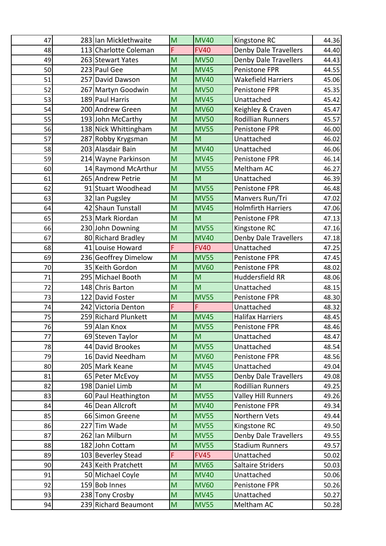| 47 | 283 Ian Micklethwaite | M                       | <b>MV40</b> | Kingstone RC                 | 44.36 |
|----|-----------------------|-------------------------|-------------|------------------------------|-------|
| 48 | 113 Charlotte Coleman | F                       | <b>FV40</b> | <b>Denby Dale Travellers</b> | 44.40 |
| 49 | 263 Stewart Yates     | M                       | <b>MV50</b> | <b>Denby Dale Travellers</b> | 44.43 |
| 50 | 223 Paul Gee          | M                       | <b>MV45</b> | Penistone FPR                | 44.55 |
| 51 | 257 David Dawson      | M                       | <b>MV40</b> | <b>Wakefield Harriers</b>    | 45.06 |
| 52 | 267 Martyn Goodwin    | M                       | <b>MV50</b> | Penistone FPR                | 45.35 |
| 53 | 189 Paul Harris       | M                       | <b>MV45</b> | Unattached                   | 45.42 |
| 54 | 200 Andrew Green      | M                       | <b>MV60</b> | Keighley & Craven            | 45.47 |
| 55 | 193 John McCarthy     | M                       | <b>MV50</b> | <b>Rodillian Runners</b>     | 45.57 |
| 56 | 138 Nick Whittingham  | M                       | <b>MV55</b> | Penistone FPR                | 46.00 |
| 57 | 287 Robby Krygsman    | M                       | M           | Unattached                   | 46.02 |
| 58 | 203 Alasdair Bain     | M                       | <b>MV40</b> | Unattached                   | 46.06 |
| 59 | 214 Wayne Parkinson   | M                       | <b>MV45</b> | Penistone FPR                | 46.14 |
| 60 | 14 Raymond McArthur   | M                       | <b>MV55</b> | Meltham AC                   | 46.27 |
| 61 | 265 Andrew Petrie     | M                       | M           | Unattached                   | 46.39 |
| 62 | 91 Stuart Woodhead    | M                       | <b>MV55</b> | Penistone FPR                | 46.48 |
| 63 | 32 Ian Pugsley        | M                       | <b>MV55</b> | Manvers Run/Tri              | 47.02 |
| 64 | 42 Shaun Tunstall     | M                       | <b>MV45</b> | <b>Holmfirth Harriers</b>    | 47.06 |
| 65 | 253 Mark Riordan      | M                       | M           | Penistone FPR                | 47.13 |
| 66 | 230 John Downing      | M                       | <b>MV55</b> | Kingstone RC                 | 47.16 |
| 67 | 80 Richard Bradley    | M                       | <b>MV40</b> | Denby Dale Travellers        | 47.18 |
| 68 | 41 Louise Howard      | F                       | <b>FV40</b> | Unattached                   | 47.25 |
| 69 | 236 Geoffrey Dimelow  | M                       | <b>MV55</b> | Penistone FPR                | 47.45 |
| 70 | 35 Keith Gordon       | M                       | <b>MV60</b> | Penistone FPR                | 48.02 |
| 71 | 295 Michael Booth     | M                       | M           | Huddersfield RR              | 48.06 |
| 72 | 148 Chris Barton      | M                       | M           | Unattached                   | 48.15 |
| 73 | 122 David Foster      | M                       | <b>MV55</b> | Penistone FPR                | 48.30 |
| 74 | 242 Victoria Denton   | F                       | F           | Unattached                   | 48.32 |
| 75 | 259 Richard Plunkett  | M                       | <b>MV45</b> | <b>Halifax Harriers</b>      | 48.45 |
| 76 | 59 Alan Knox          | $\overline{\mathsf{M}}$ | <b>MV55</b> | Penistone FPR                | 48.46 |
| 77 | 69 Steven Taylor      | M                       | M           | Unattached                   | 48.47 |
| 78 | 44 David Brookes      | M                       | <b>MV55</b> | Unattached                   | 48.54 |
| 79 | 16 David Needham      | M                       | <b>MV60</b> | Penistone FPR                | 48.56 |
| 80 | 205 Mark Keane        | M                       | <b>MV45</b> | Unattached                   | 49.04 |
| 81 | 65 Peter McEvoy       | M                       | <b>MV55</b> | <b>Denby Dale Travellers</b> | 49.08 |
| 82 | 198 Daniel Limb       | M                       | M           | <b>Rodillian Runners</b>     | 49.25 |
| 83 | 60 Paul Heathington   | M                       | <b>MV55</b> | <b>Valley Hill Runners</b>   | 49.26 |
| 84 | 46 Dean Allcroft      | M                       | <b>MV40</b> | Penistone FPR                | 49.34 |
| 85 | 66 Simon Greene       | M                       | <b>MV55</b> | Northern Vets                | 49.44 |
| 86 | 227 Tim Wade          | M                       | <b>MV55</b> | Kingstone RC                 | 49.50 |
| 87 | 262 Ian Milburn       | M                       | <b>MV55</b> | Denby Dale Travellers        | 49.55 |
| 88 | 182 John Cottam       | M                       | <b>MV55</b> | <b>Stadium Runners</b>       | 49.57 |
| 89 | 103 Beverley Stead    | F                       | <b>FV45</b> | Unattached                   | 50.02 |
| 90 | 243 Keith Pratchett   | M                       | <b>MV65</b> | <b>Saltaire Striders</b>     | 50.03 |
| 91 | 50 Michael Coyle      | M                       | <b>MV40</b> | Unattached                   | 50.06 |
| 92 | 159 Bob Innes         | M                       | <b>MV60</b> | Penistone FPR                | 50.26 |
| 93 | 238 Tony Crosby       | M                       | <b>MV45</b> | Unattached                   | 50.27 |
| 94 | 239 Richard Beaumont  | M                       | <b>MV55</b> | Meltham AC                   | 50.28 |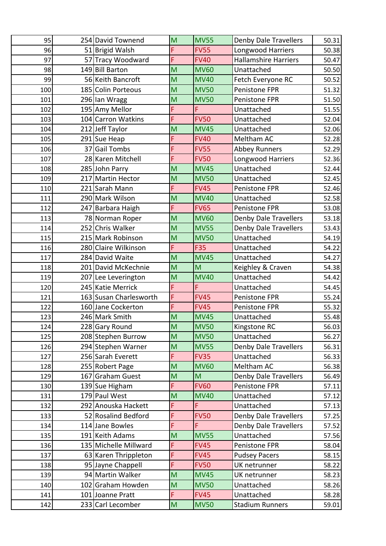| 95  | 254 David Townend      | M                       | <b>MV55</b> | Denby Dale Travellers        | 50.31 |
|-----|------------------------|-------------------------|-------------|------------------------------|-------|
| 96  | 51 Brigid Walsh        | F                       | <b>FV55</b> | Longwood Harriers            | 50.38 |
| 97  | 57 Tracy Woodward      | F                       | <b>FV40</b> | <b>Hallamshire Harriers</b>  | 50.47 |
| 98  | 149 Bill Barton        | M                       | <b>MV60</b> | Unattached                   | 50.50 |
| 99  | 56 Keith Bancroft      | M                       | <b>MV40</b> | Fetch Everyone RC            | 50.52 |
| 100 | 185 Colin Porteous     | M                       | <b>MV50</b> | Penistone FPR                | 51.32 |
| 101 | 296 Ian Wragg          | M                       | <b>MV50</b> | Penistone FPR                | 51.50 |
| 102 | 195 Amy Mellor         | F                       | F           | Unattached                   | 51.55 |
| 103 | 104 Carron Watkins     | F                       | <b>FV50</b> | Unattached                   | 52.04 |
| 104 | 212 Jeff Taylor        | M                       | <b>MV45</b> | Unattached                   | 52.06 |
| 105 | 291 Sue Heap           | F                       | <b>FV40</b> | Meltham AC                   | 52.28 |
| 106 | 37 Gail Tombs          | F                       | <b>FV55</b> | <b>Abbey Runners</b>         | 52.29 |
| 107 | 28 Karen Mitchell      | F                       | <b>FV50</b> | Longwood Harriers            | 52.36 |
| 108 | 285 John Parry         | M                       | <b>MV45</b> | Unattached                   | 52.44 |
| 109 | 217 Martin Hector      | M                       | <b>MV50</b> | Unattached                   | 52.45 |
| 110 | 221 Sarah Mann         | F                       | <b>FV45</b> | Penistone FPR                | 52.46 |
| 111 | 290 Mark Wilson        | M                       | <b>MV40</b> | Unattached                   | 52.58 |
| 112 | 247 Barbara Haigh      | F                       | <b>FV65</b> | Penistone FPR                | 53.08 |
| 113 | 78 Norman Roper        | M                       | <b>MV60</b> | <b>Denby Dale Travellers</b> | 53.18 |
| 114 | 252 Chris Walker       | M                       | <b>MV55</b> | <b>Denby Dale Travellers</b> | 53.43 |
| 115 | 215 Mark Robinson      | M                       | <b>MV50</b> | Unattached                   | 54.19 |
| 116 | 280 Claire Wilkinson   | F                       | F35         | Unattached                   | 54.22 |
| 117 | 284 David Waite        | M                       | <b>MV45</b> | Unattached                   | 54.27 |
| 118 | 201 David McKechnie    | M                       | M           | Keighley & Craven            | 54.38 |
| 119 | 207 Lee Leverington    | M                       | <b>MV40</b> | Unattached                   | 54.42 |
| 120 | 245 Katie Merrick      | F                       | Ë           | Unattached                   | 54.45 |
| 121 | 163 Susan Charlesworth | F                       | <b>FV45</b> | Penistone FPR                | 55.24 |
| 122 | 160 Jane Cockerton     | F                       | <b>FV45</b> | Penistone FPR                | 55.32 |
| 123 | 246 Mark Smith         | M                       | <b>MV45</b> | Unattached                   | 55.48 |
| 124 | 228 Gary Round         | $\overline{\mathsf{M}}$ | <b>MV50</b> | Kingstone RC                 | 56.03 |
| 125 | 208 Stephen Burrow     | M                       | <b>MV50</b> | Unattached                   | 56.27 |
| 126 | 294 Stephen Warner     | M                       | <b>MV55</b> | Denby Dale Travellers        | 56.31 |
| 127 | 256 Sarah Everett      | F                       | <b>FV35</b> | Unattached                   | 56.33 |
| 128 | 255 Robert Page        | M                       | <b>MV60</b> | Meltham AC                   | 56.38 |
| 129 | 167 Graham Guest       | M                       | M           | <b>Denby Dale Travellers</b> | 56.49 |
| 130 | 139 Sue Higham         | F                       | <b>FV60</b> | Penistone FPR                | 57.11 |
| 131 | 179 Paul West          | M                       | <b>MV40</b> | Unattached                   | 57.12 |
| 132 | 292 Anouska Hackett    | F                       | F           | Unattached                   | 57.13 |
| 133 | 52 Rosalind Bedford    | F                       | <b>FV50</b> | <b>Denby Dale Travellers</b> | 57.25 |
| 134 | 114 Jane Bowles        | F                       | F           | Denby Dale Travellers        | 57.52 |
| 135 | 191 Keith Adams        | M                       | <b>MV55</b> | Unattached                   | 57.56 |
| 136 | 135 Michelle Millward  | F                       | <b>FV45</b> | Penistone FPR                | 58.04 |
| 137 | 63 Karen Thrippleton   | F                       | <b>FV45</b> | <b>Pudsey Pacers</b>         | 58.15 |
| 138 | 95 Jayne Chappell      | F                       | <b>FV50</b> | UK netrunner                 | 58.22 |
| 139 | 94 Martin Walker       | M                       | <b>MV45</b> | UK netrunner                 | 58.23 |
| 140 | 102 Graham Howden      | M                       | <b>MV50</b> | Unattached                   | 58.26 |
| 141 | 101 Joanne Pratt       | F                       | <b>FV45</b> | Unattached                   | 58.28 |
| 142 | 233 Carl Lecomber      | M                       | <b>MV50</b> | <b>Stadium Runners</b>       | 59.01 |